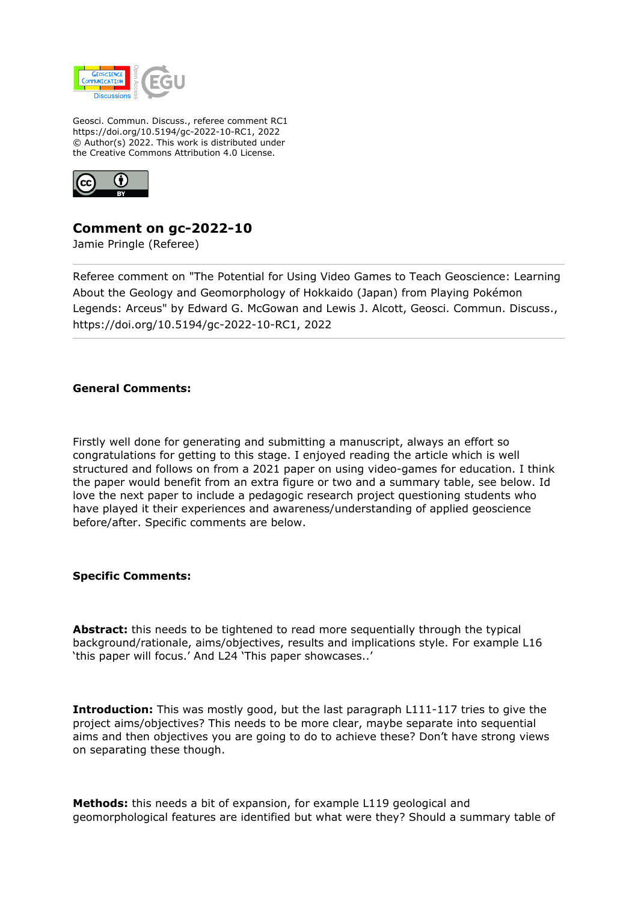

Geosci. Commun. Discuss., referee comment RC1 https://doi.org/10.5194/gc-2022-10-RC1, 2022 © Author(s) 2022. This work is distributed under the Creative Commons Attribution 4.0 License.



## **Comment on gc-2022-10**

Jamie Pringle (Referee)

Referee comment on "The Potential for Using Video Games to Teach Geoscience: Learning About the Geology and Geomorphology of Hokkaido (Japan) from Playing Pokémon Legends: Arceus" by Edward G. McGowan and Lewis J. Alcott, Geosci. Commun. Discuss., https://doi.org/10.5194/gc-2022-10-RC1, 2022

## **General Comments:**

Firstly well done for generating and submitting a manuscript, always an effort so congratulations for getting to this stage. I enjoyed reading the article which is well structured and follows on from a 2021 paper on using video-games for education. I think the paper would benefit from an extra figure or two and a summary table, see below. Id love the next paper to include a pedagogic research project questioning students who have played it their experiences and awareness/understanding of applied geoscience before/after. Specific comments are below.

## **Specific Comments:**

**Abstract:** this needs to be tightened to read more sequentially through the typical background/rationale, aims/objectives, results and implications style. For example L16 'this paper will focus.' And L24 'This paper showcases..'

**Introduction:** This was mostly good, but the last paragraph L111-117 tries to give the project aims/objectives? This needs to be more clear, maybe separate into sequential aims and then objectives you are going to do to achieve these? Don't have strong views on separating these though.

**Methods:** this needs a bit of expansion, for example L119 geological and geomorphological features are identified but what were they? Should a summary table of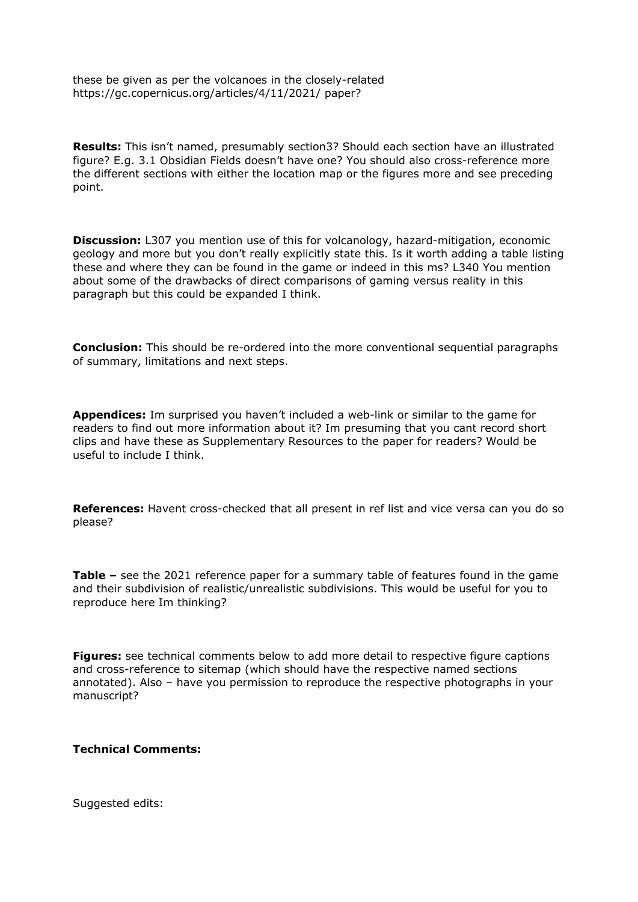these be given as per the volcanoes in the closely-related https://gc.copernicus.org/articles/4/11/2021/ paper?

**Results:** This isn't named, presumably section3? Should each section have an illustrated figure? E.g. 3.1 Obsidian Fields doesn't have one? You should also cross-reference more the different sections with either the location map or the figures more and see preceding point.

**Discussion:** L307 you mention use of this for volcanology, hazard-mitigation, economic geology and more but you don't really explicitly state this. Is it worth adding a table listing these and where they can be found in the game or indeed in this ms? L340 You mention about some of the drawbacks of direct comparisons of gaming versus reality in this paragraph but this could be expanded I think.

**Conclusion:** This should be re-ordered into the more conventional sequential paragraphs of summary, limitations and next steps.

**Appendices:** Im surprised you haven't included a web-link or similar to the game for readers to find out more information about it? Im presuming that you cant record short clips and have these as Supplementary Resources to the paper for readers? Would be useful to include I think.

**References:** Havent cross-checked that all present in ref list and vice versa can you do so please?

**Table –** see the 2021 reference paper for a summary table of features found in the game and their subdivision of realistic/unrealistic subdivisions. This would be useful for you to reproduce here Im thinking?

**Figures:** see technical comments below to add more detail to respective figure captions and cross-reference to sitemap (which should have the respective named sections annotated). Also – have you permission to reproduce the respective photographs in your manuscript?

## **Technical Comments:**

Suggested edits: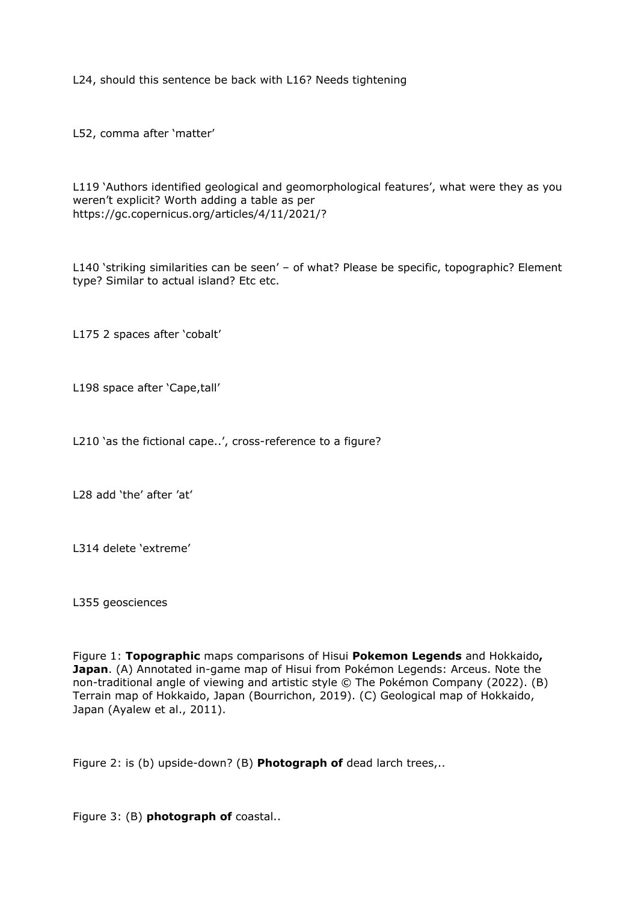L24, should this sentence be back with L16? Needs tightening

L52, comma after 'matter'

L119 'Authors identified geological and geomorphological features', what were they as you weren't explicit? Worth adding a table as per https://gc.copernicus.org/articles/4/11/2021/?

L140 'striking similarities can be seen' – of what? Please be specific, topographic? Element type? Similar to actual island? Etc etc.

L175 2 spaces after 'cobalt'

L198 space after 'Cape,tall'

L210 'as the fictional cape..', cross-reference to a figure?

L28 add 'the' after 'at'

L314 delete 'extreme'

L355 geosciences

Figure 1: **Topographic** maps comparisons of Hisui **Pokemon Legends** and Hokkaido**, Japan**. (A) Annotated in-game map of Hisui from Pokémon Legends: Arceus. Note the non-traditional angle of viewing and artistic style © The Pokémon Company (2022). (B) Terrain map of Hokkaido, Japan (Bourrichon, 2019). (C) Geological map of Hokkaido, Japan (Ayalew et al., 2011).

Figure 2: is (b) upside-down? (B) **Photograph of** dead larch trees,..

Figure 3: (B) **photograph of** coastal..